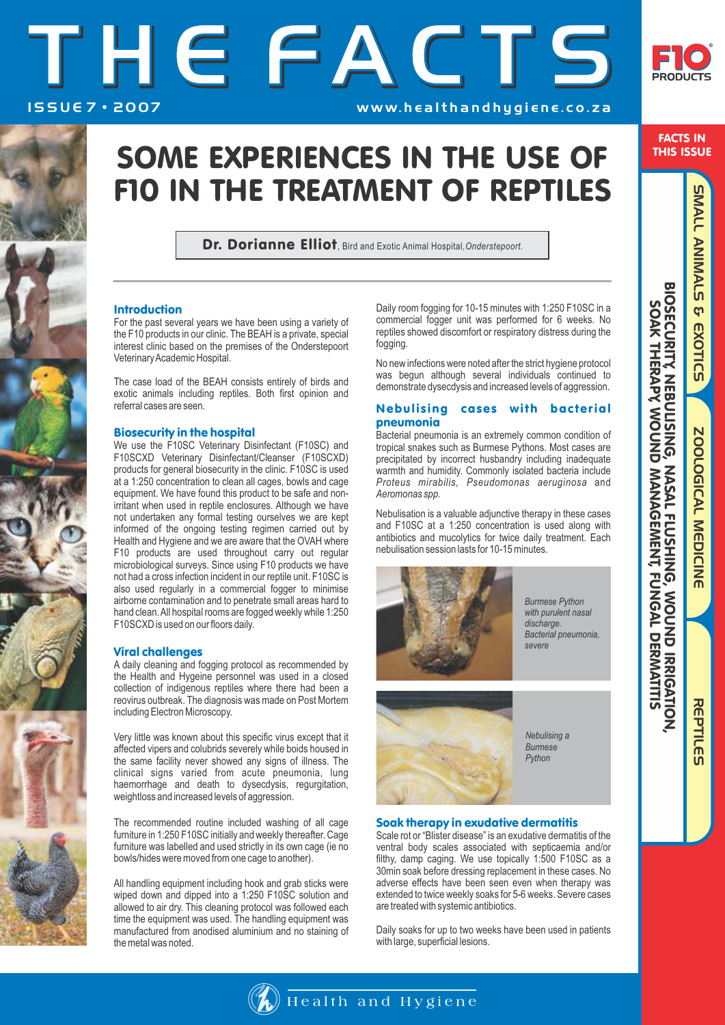# THEFACTS ISSUE 7 · 2007 **WWW. healthandhygiene.co.za**



## SOME EXPERIENCES IN THE USE OF F10 IN THE TREATMENT OF REPTILES

Dr. Dorianne Elliot, Bird and Exotic Animal Hospital*,Onderstepoort.*

### Introduction

For the past several years we have been using a variety of the F10 products in our clinic. The BEAH is a private, special interest clinic based on the premises of the Onderstepoort Veterinary Academic Hospital.

The case load of the BEAH consists entirely of birds and exotic animals including reptiles. Both first opinion and referral cases are seen.

### Biosecurity in the hospital

We use the F10SC Veterinary Disinfectant (F10SC) and F10SCXD Veterinary Disinfectant/Cleanser (F10SCXD) products for general biosecurity in the clinic. F10SC is used at a 1:250 concentration to clean all cages, bowls and cage equipment. We have found this product to be safe and nonirritant when used in reptile enclosures. Although we have not undertaken any formal testing ourselves we are kept informed of the ongoing testing regimen carried out by Health and Hygiene and we are aware that the OVAH where F10 products are used throughout carry out regular microbiological surveys. Since using F10 products we have not had a cross infection incident in our reptile unit. F10SC is also used regularly in a commercial fogger to minimise airborne contamination and to penetrate small areas hard to hand clean. All hospital rooms are fogged weekly while 1:250 F10SCXD is used on our floors daily.

### Viral challenges

A daily cleaning and fogging protocol as recommended by the Health and Hygeine personnel was used in a closed collection of indigenous reptiles where there had been a reovirus outbreak. The diagnosis was made on Post Mortem including Electron Microscopy.

Very little was known about this specific virus except that it affected vipers and colubrids severely while boids housed in the same facility never showed any signs of illness. The clinical signs varied from acute pneumonia, lung haemorrhage and death to dysecdysis, regurgitation, weightloss and increased levels of aggression.

The recommended routine included washing of all cage furniture in 1:250 F10SC initially and weekly thereafter. Cage furniture was labelled and used strictly in its own cage (ie no bowls/hides were moved from one cage to another).

All handling equipment including hook and grab sticks were wiped down and dipped into a 1:250 F10SC solution and allowed to air dry. This cleaning protocol was followed each time the equipment was used. The handling equipment was manufactured from anodised aluminium and no staining of the metal was noted.

Daily room fogging for 10-15 minutes with 1:250 F10SC in a commercial fogger unit was performed for 6 weeks. No reptiles showed discomfort or respiratory distress during the fogging.

No new infections were noted after the strict hygiene protocol was begun although several individuals continued to demonstrate dysecdysis and increased levels of aggression.

### Nebulising cases with bacterial pneumonia

Bacterial pneumonia is an extremely common condition of tropical snakes such as Burmese Pythons. Most cases are precipitated by incorrect husbandry including inadequate warmth and humidity. Commonly isolated bacteria include *Proteus mirabilis, Pseudomonas aeruginosa* and *Aeromonas spp.*

Nebulisation is a valuable adjunctive therapy in these cases and F10SC at a 1:250 concentration is used along with antibiotics and mucolytics for twice daily treatment. Each nebulisation session lasts for 10-15 minutes.



*Burmese Python with purulent nasal discharge. Bacterial pneumonia, severe*



*Nebulising a Burmese Python*

### Soak therapy in exudative dermatitis

Scale rot or "Blister disease" is an exudative dermatitis of the ventral body scales associated with septicaemia and/or filthy, damp caging. We use topically 1:500 F10SC as a 30min soak before dressing replacement in these cases. No adverse effects have been seen even when therapy was extended to twice weekly soaks for 5-6 weeks. Severe cases are treated with systemic antibiotics.

Daily soaks for up to two weeks have been used in patients with large, superficial lesions.

SMALL ANIMALS & EXOTIC SMALL ANIMALS & EXOTICS

ZOOLOGICAL MEDICINE

ZOOLOGICAL MEDICINE

REPTILES

**REPTILES**